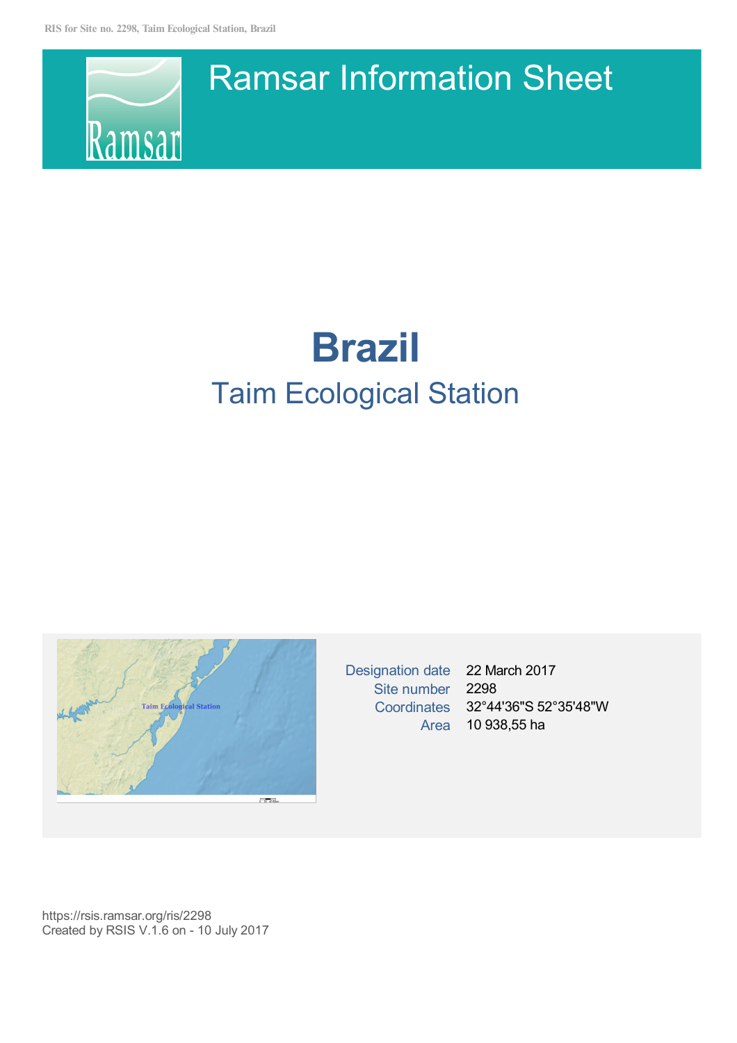

# **Brazil** Taim Ecological Station



Designation date 22 March 2017 Site number 2298

Coordinates 32°44'36"S 52°35'48"W Area 10 938,55 ha

https://rsis.ramsar.org/ris/2298 Created by RSIS V.1.6 on - 10 July 2017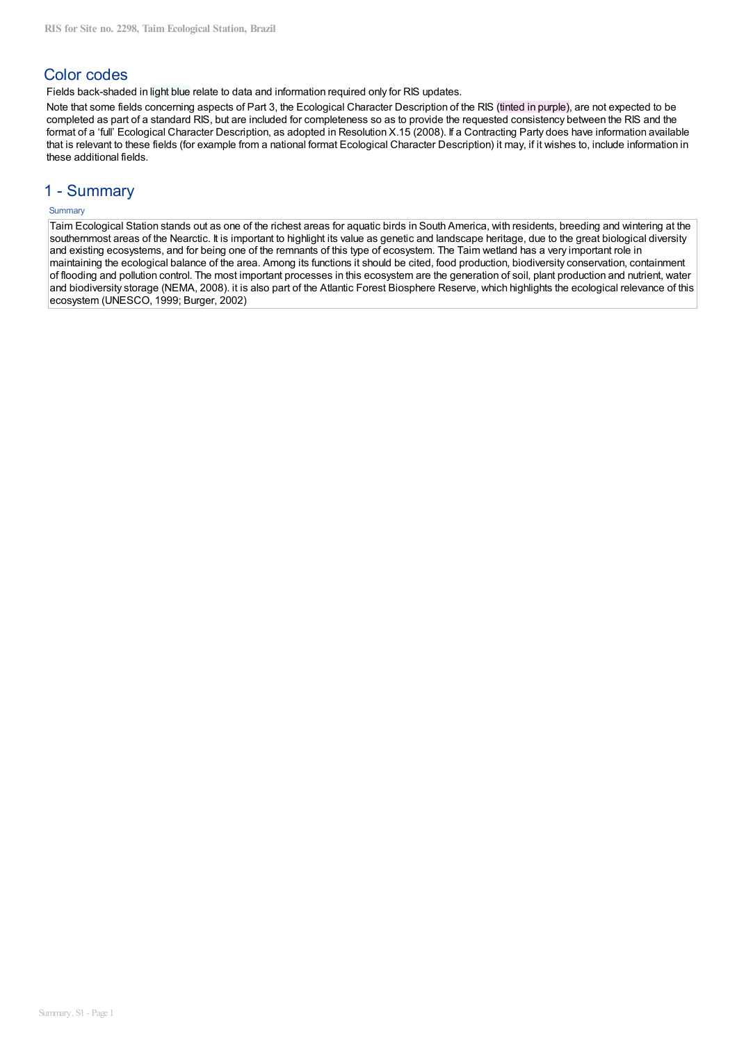# Color codes

Fields back-shaded in light blue relate to data and information required only for RIS updates.

Note that some fields concerning aspects of Part 3, the Ecological Character Description of the RIS (tinted in purple), are not expected to be completed as part of a standard RIS, but are included for completeness so as to provide the requested consistency between the RIS and the format of a 'full' Ecological Character Description, as adopted in Resolution X.15 (2008). If a Contracting Party does have information available that is relevant to these fields (for example from a national format Ecological Character Description) it may, if it wishes to, include information in these additional fields.

# 1 - Summary

## **Summary**

Taim Ecological Station stands out as one of the richest areas for aquatic birds in South America, with residents, breeding and wintering at the southernmost areas of the Nearctic. It is important to highlight its value as genetic and landscape heritage, due to the great biological diversity and existing ecosystems, and for being one of the remnants of this type of ecosystem. The Taim wetland has a very important role in maintaining the ecological balance of the area. Among its functions it should be cited, food production, biodiversity conservation, containment of flooding and pollution control. The most important processes in this ecosystem are the generation of soil, plant production and nutrient, water and biodiversity storage (NEMA, 2008). it is also part of the Atlantic Forest Biosphere Reserve, which highlights the ecological relevance of this ecosystem (UNESCO, 1999; Burger, 2002)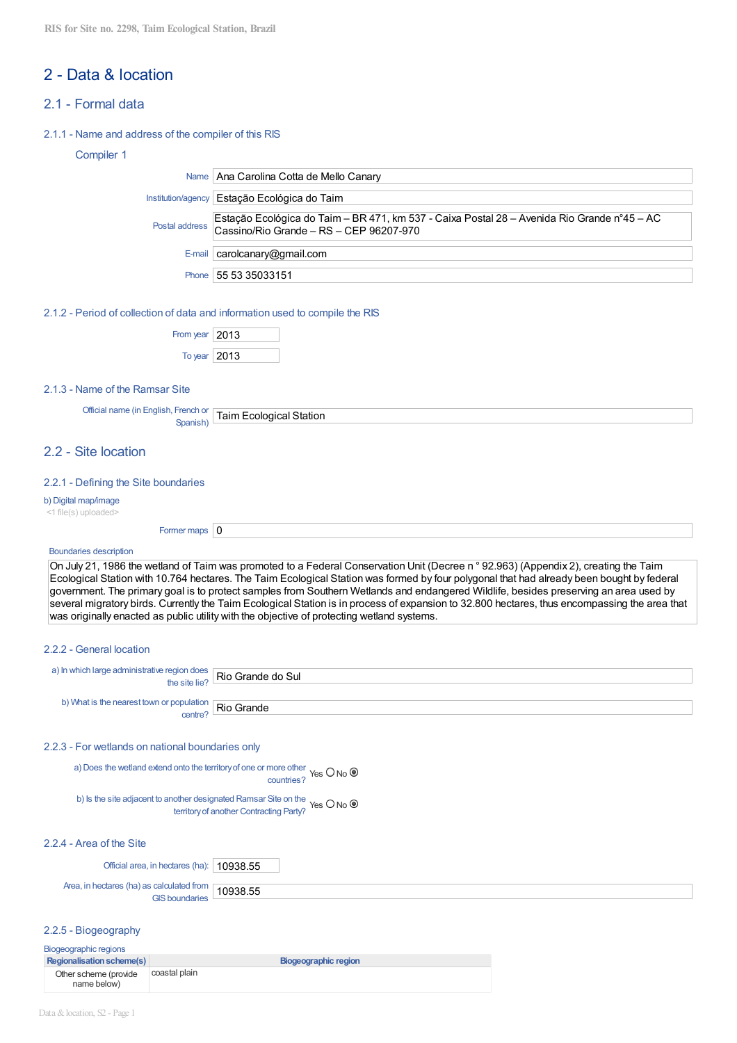# 2 - Data & location

# 2.1 - Formal data

#### 2.1.1 - Name and address of the compiler of this RIS

#### Compiler 1

| Name   Ana Carolina Cotta de Mello Canary                                                                                                             |
|-------------------------------------------------------------------------------------------------------------------------------------------------------|
| Institution/agency   Estação Ecológica do Taim                                                                                                        |
| Estação Ecológica do Taim – BR 471, km 537 - Caixa Postal 28 – Avenida Rio Grande n°45 – AC<br>Postal address Cassino/Rio Grande - RS - CEP 96207-970 |
| E-mail $\vert$ carolcanary@gmail.com                                                                                                                  |
| Phone   55 53 35033151                                                                                                                                |

2.1.2 - Period of collection of data and information used to compile the RIS

| From year $ 2013$ |  |
|-------------------|--|
| To year $ 2013$   |  |

#### 2.1.3 - Name of the Ramsar Site

Official name (in English, French or **French or Taim Ecological Station** 

# 2.2 - Site location

#### 2.2.1 - Defining the Site boundaries

b) Digital map/image <1 file(s) uploaded>

Former maps  $\vert 0$ 

#### Boundaries description

On July 21, 1986 the wetland of Taim was promoted to a Federal Conservation Unit (Decree n ° 92.963) (Appendix 2), creating the Taim Ecological Station with 10.764 hectares. The Taim Ecological Station was formed by four polygonal that had already been bought by federal government. The primary goal is to protect samples from Southern Wetlands and endangered Wildlife, besides preserving an area used by several migratory birds. Currently the Taim Ecological Station is in process of expansion to 32.800 hectares, thus encompassing the area that was originally enacted as public utility with the objective of protecting wetland systems.

#### 2.2.2 - General location

| a) In which large administrative region does<br>the site lie? Rio Grande do Sul |  |
|---------------------------------------------------------------------------------|--|
|                                                                                 |  |
| h) What is the nearest town or population Rio Grande                            |  |

#### 2.2.3 - For wetlands on national boundaries only

a) Does the wetland extend onto the territory of one or more other Yes  $\bigcirc$  No ( countries?

b) Is the site adjacent to another designated Ramsar Site on the Yes  $\bigcirc$  No ( territory of another Contracting Party?

#### 2.2.4 - Area of the Site

Official area, in hectares (ha): 10938.55

Area, in hectares (ha) as calculated from

**GIS** boundaries 10938.55

#### 2.2.5 - Biogeography

| Biogeographic regions                |                             |  |  |  |  |  |  |
|--------------------------------------|-----------------------------|--|--|--|--|--|--|
| Regionalisation scheme(s)            | <b>Biogeographic region</b> |  |  |  |  |  |  |
| Other scheme (provide<br>name below) | coastal plain               |  |  |  |  |  |  |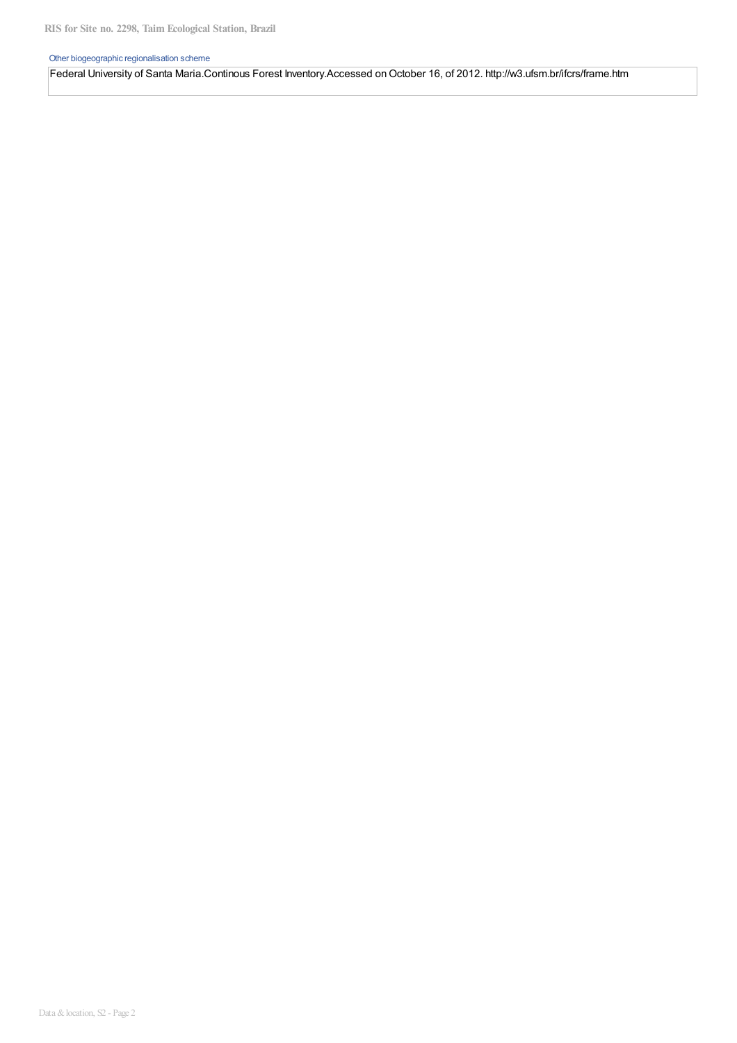Other biogeographic regionalisation scheme

Federal University of Santa Maria.Continous Forest Inventory.Accessed on October 16, of 2012. http://w3.ufsm.br/ifcrs/frame.htm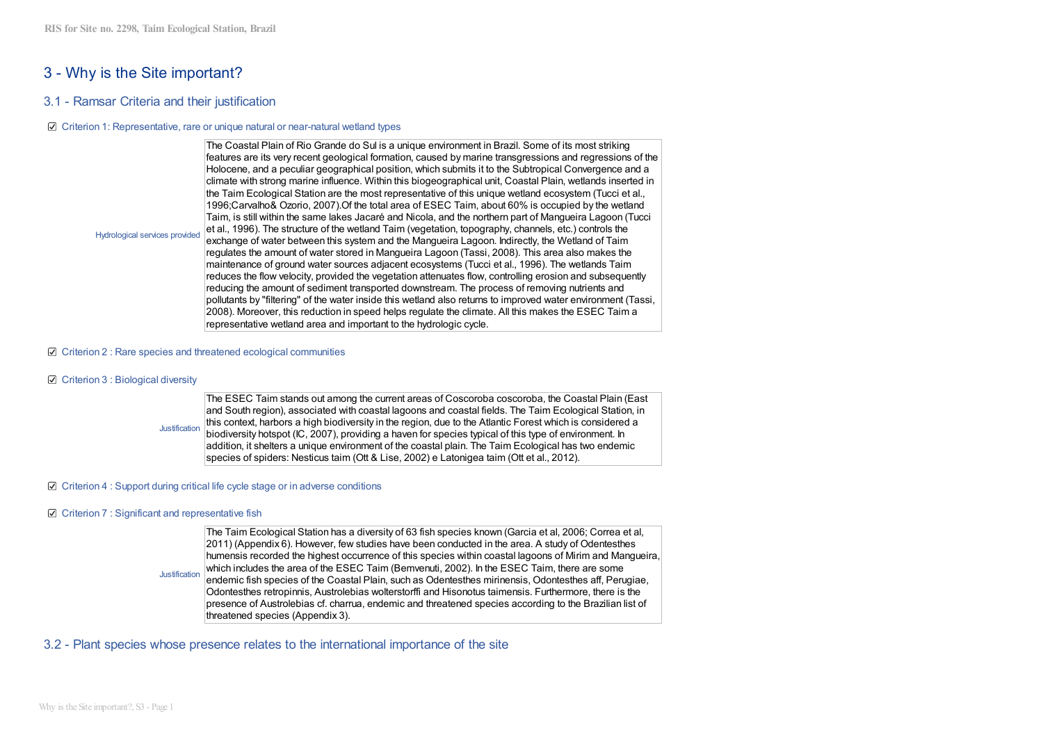# 3 - Why is the Site important?

#### 3.1 - Ramsar Criteria and their justification

#### Criterion 1: Representative, rare or unique natural or near-natural wetland types

Hydrological services provided The Coastal Plain of Rio Grande do Sul is a unique environment in Brazil. Some of its most striking features are its very recent geological formation, caused by marine transgressions and regressions of the Holocene, and a peculiar geographical position, which submits it to the Subtropical Convergence and a climate with strong marine influence. Within this biogeographical unit, Coastal Plain, wetlands inserted in the Taim Ecological Station are the most representative of this unique wetland ecosystem (Tucci et al., 1996;Carvalho& Ozorio, 2007).Of the total area of ESEC Taim, about 60% is occupied by the wetland Taim, is still within the same lakes Jacaré and Nicola, and the northern part of Mangueira Lagoon (Tucci et al., 1996). The structure of the wetland Taim (vegetation, topography, channels, etc.) controls the exchange of water between this system and the Mangueira Lagoon. Indirectly, the Wetland of Taim regulates the amount of water stored in Mangueira Lagoon (Tassi, 2008). This area also makes the maintenance of ground water sources adjacent ecosystems (Tucci et al., 1996). The wetlands Taim reduces the flow velocity, provided the vegetation attenuates flow, controlling erosion and subsequently reducing the amount of sediment transported downstream. The process of removing nutrients and pollutants by "filtering" of the water inside this wetland also returns to improved water environment (Tassi, 2008). Moreover, this reduction in speed helps regulate the climate. All this makes the ESEC Taim a representative wetland area and important to the hydrologic cycle.

#### Criterion 2 : Rare species and threatened ecological communities

#### **■** Criterion 3 : Biological diversity

Justification The ESEC Taim stands out among the current areas of Coscoroba coscoroba, the Coastal Plain (East and South region), associated with coastal lagoons and coastal fields. The Taim Ecological Station, in this context, harbors a high biodiversity in the region, due to the Atlantic Forest which is considered a biodiversity hotspot (IC, 2007), providing a haven for species typical of this type of environment. In addition, it shelters a unique environment of the coastal plain. The Taim Ecological has two endemic species of spiders: Nesticus taim (Ott & Lise, 2002) e Latonigea taim (Ott et al., 2012).

#### $\boxtimes$  Criterion 4 : Support during critical life cycle stage or in adverse conditions

#### ■ Criterion 7 : Significant and representative fish

Justification The Taim Ecological Station has a diversity of 63 fish species known (Garcia et al, 2006; Correa et al, 2011) (Appendix 6). However, few studies have been conducted in the area. A study of Odentesthes humensis recorded the highest occurrence of this species within coastal lagoons of Mirim and Mangueira, which includes the area of the ESEC Taim (Bemvenuti, 2002). In the ESEC Taim, there are some endemic fish species of the Coastal Plain, such as Odentesthes mirinensis, Odontesthes aff, Perugiae, Odontesthes retropinnis, Austrolebias wolterstorffi and Hisonotus taimensis. Furthermore, there is the presence of Austrolebias cf. charrua, endemic and threatened species according to the Brazilian list of threatened species (Appendix 3).

#### 3.2 - Plant species whose presence relates to the international importance of the site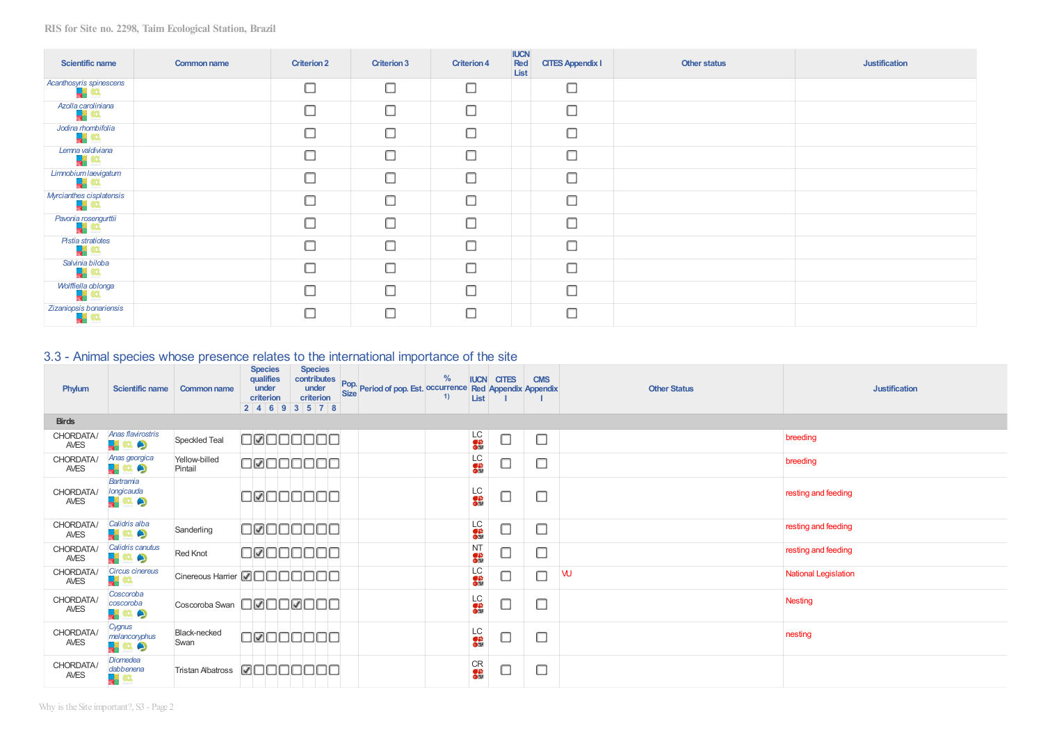| Scientific name                                       | <b>Common name</b> | <b>Criterion 2</b> | <b>Criterion 3</b> | <b>Criterion 4</b> | <b>IUCN</b><br>Red<br>List | <b>CITES Appendix I</b>  | <b>Other status</b> | <b>Justification</b> |
|-------------------------------------------------------|--------------------|--------------------|--------------------|--------------------|----------------------------|--------------------------|---------------------|----------------------|
| Acanthosyris spinescens                               |                    | ┍                  | г                  | О                  |                            | ╒                        |                     |                      |
| Azolla caroliniana                                    |                    | ┌                  | Г                  | O                  |                            | ◠                        |                     |                      |
| Jodina rhombifolia<br>- 3                             |                    | ┍                  | г                  | О                  |                            | ▭                        |                     |                      |
| Lemna valdiviana                                      |                    | ┍                  | Г                  | О                  |                            | ┌                        |                     |                      |
| Limnobium laevigatum                                  |                    | ┍                  | г                  | П                  |                            | $\overline{\phantom{0}}$ |                     |                      |
| Myrcianthes cisplatensis                              |                    | ╒                  | г                  | Ω                  |                            | $\overline{\phantom{0}}$ |                     |                      |
| Pavonia rosengurttii                                  |                    | ╒                  | г                  | П                  |                            | $\overline{\phantom{0}}$ |                     |                      |
| Pistia stratiotes<br>m.                               |                    | ╒                  | П                  | П                  |                            | $\overline{\phantom{0}}$ |                     |                      |
| Salvinia biloba<br>4                                  |                    | ╒                  | г                  | П                  |                            | $\overline{\phantom{0}}$ |                     |                      |
| Wolffiella oblonga                                    |                    | ╒                  | П                  | П                  |                            | $\overline{\phantom{m}}$ |                     |                      |
| Zizaniopsis bonariensis<br>$\mathbf{R}^{\mathcal{S}}$ |                    | ╒                  | г                  | г                  |                            |                          |                     |                      |

# 3.3 - Animal species whose presence relates to the international importance of the site

| Phylum                   | <b>Scientific name</b>                             | <b>Common name</b>                 | <b>Species</b><br>qualifies<br>under<br>criterion | <b>Species</b><br>contributes<br>under<br>criterion<br>2 4 6 9 3 5 7 8 | Pop. Period of pop. Est. occurrence Red Appendix Appendix | $\%$<br><b>IUCN</b><br>1)<br>List | <b>CITES</b> | <b>CMS</b> | <b>Other Status</b> | <b>Justification</b> |
|--------------------------|----------------------------------------------------|------------------------------------|---------------------------------------------------|------------------------------------------------------------------------|-----------------------------------------------------------|-----------------------------------|--------------|------------|---------------------|----------------------|
| <b>Birds</b>             |                                                    |                                    |                                                   |                                                                        |                                                           |                                   |              |            |                     |                      |
| CHORDATA/<br><b>AVES</b> | <b>Anas flavirostris</b><br><b>Ha</b>              | Speckled Teal                      | 00000C                                            |                                                                        |                                                           | LC<br>88                          | $\Box$       |            |                     | breeding             |
| CHORDATA/<br>AVES        | Anas georgica<br>黒紅今                               | Yellow-billed<br>Pintail           | <u>oøooonna</u>                                   |                                                                        |                                                           | <b>LC</b><br>ON                   |              |            |                     | breeding             |
| CHORDATA/<br><b>AVES</b> | Bartramia<br>Iongicauda<br><b>Made</b>             |                                    | IZ                                                |                                                                        |                                                           | <b>LC</b><br>ON                   | $\Box$       | С          |                     | resting and feeding  |
| CHORDATA/<br><b>AVES</b> | Calidris alba<br><b>HEL</b> 9                      | Sanderling                         | 000000                                            | nп                                                                     |                                                           | LC<br><b>SS</b>                   | $\Box$       | Ċ          |                     | resting and feeding  |
| CHORDATA/<br><b>AVES</b> | Calidris canutus<br><b>o</b> ea<br>$\bullet$       | Red Knot                           | $\Box$ M                                          |                                                                        |                                                           | NT<br><b>SH</b>                   | ◡            |            |                     | resting and feeding  |
| CHORDATA/<br><b>AVES</b> | Circus cinereus<br>$\frac{1}{2}$ and $\frac{1}{2}$ | Cinereous Harrier <b>200000000</b> |                                                   |                                                                        |                                                           | LC<br>63                          |              | C          | W                   | National Legislation |
| CHORDATA/<br>AVES        | Coscoroba<br>coscoroba<br><b>HEL</b> 9             | Coscoroba Swan                     | 00000000                                          |                                                                        |                                                           | <b>LC</b><br>ON                   | $\Box$       | С          |                     | <b>Nesting</b>       |
| CHORDATA/<br>AVES        | Cygnus<br>melancoryphus<br>a.<br>$\bullet$<br>61.  | <b>Black-necked</b><br>Swan        |                                                   | 00000000                                                               |                                                           | <b>LC</b><br>ON                   | $\Box$       | С          |                     | nesting              |
| CHORDATA/<br><b>AVES</b> | <b>Diomedea</b><br>dabbenena<br>÷                  | <b>Tristan Albatross</b>           | <u> Maaaaaan</u>                                  |                                                                        |                                                           | <b>CR</b><br><b>ON</b>            | $\Box$       | С          |                     |                      |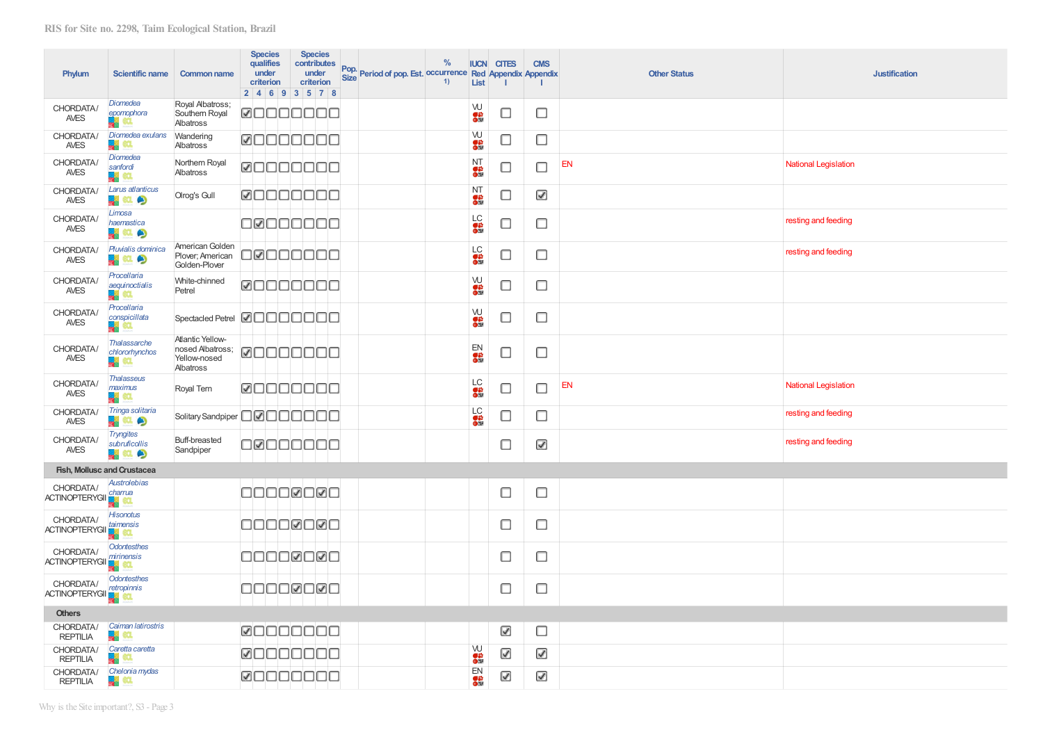| Phylum                             | <b>Scientific name</b>                                                   | Common name                                                              | <b>Species</b><br>qualifies<br>under<br>criterion<br>2 4 6 9 3 5 7 8 | <b>Species</b><br>contributes<br>under<br>criterion | Pop.<br>Period of pop. Est. Occurrence Red Appendix Appendix<br><b>Size</b> | $\%$<br>1) | List                     | <b>IUCN CITES</b><br>-1  | <b>CMS</b>               | <b>Other Status</b> | <b>Justification</b>        |
|------------------------------------|--------------------------------------------------------------------------|--------------------------------------------------------------------------|----------------------------------------------------------------------|-----------------------------------------------------|-----------------------------------------------------------------------------|------------|--------------------------|--------------------------|--------------------------|---------------------|-----------------------------|
| CHORDATA/<br><b>AVES</b>           | Diomedea<br>epomophora<br>÷                                              | Royal Albatross;<br>Southern Royal<br>Albatross                          | <b>ØOOOOOOO</b>                                                      |                                                     |                                                                             |            | W<br>os:                 | О                        | $\Box$                   |                     |                             |
| CHORDATA/<br><b>AVES</b>           | Diomedea exulans<br>÷<br>61.                                             | Wandering<br>Albatross                                                   | 0000000                                                              |                                                     |                                                                             |            | W<br><b>Si</b>           | $\Box$                   | $\Box$                   |                     |                             |
| CHORDATA/<br><b>AVES</b>           | Diomedea<br>sanfordi<br>7<br>61.                                         | Northern Royal<br>Albatross                                              | ⊽⊏                                                                   | JE 10 10 10                                         |                                                                             |            | <b>NT</b><br>os:<br>Olif | О                        | $\Box$                   | EN                  | <b>National Legislation</b> |
| CHORDATA/<br><b>AVES</b>           | Larus atlanticus<br>黒紅の                                                  | Olrog's Gull                                                             | <b>ØOOOOOO</b>                                                       |                                                     |                                                                             |            | NT<br><b>OS</b>          | $\Box$                   | ☑                        |                     |                             |
| CHORDATA/<br>AVES                  | Limosa<br>haemastica<br>黒紅の                                              |                                                                          | <u>ovooooo</u>                                                       |                                                     |                                                                             |            | LC<br>otii               | О                        | $\Box$                   |                     | resting and feeding         |
| CHORDATA/<br><b>AVES</b>           | <b>Pluvialis dominica</b><br><b>Ha</b>                                   | American Golden<br>Plover; American<br>Golden-Plover                     | NØNNNNNN                                                             |                                                     |                                                                             |            | LC<br><b>OF</b>          | $\Box$                   | O                        |                     | resting and feeding         |
| CHORDATA/<br><b>AVES</b>           | Procellaria<br>aequinoctialis<br><b>Be</b> ea                            | White-chinned<br>Petrel                                                  | 0000000                                                              |                                                     |                                                                             |            | W<br><b>Si</b>           | О                        | u                        |                     |                             |
| CHORDATA/<br><b>AVES</b>           | Procellaria<br>conspicillata<br>÷<br>ю                                   | <b>Spectacled Petrel</b>                                                 | <b>00000000</b>                                                      |                                                     |                                                                             |            | W<br>otii                | $\Box$                   | $\Box$                   |                     |                             |
| CHORDATA/<br><b>AVES</b>           | <b>Thalassarche</b><br>chlororhynchos<br>$\frac{1}{2}$ and $\frac{1}{2}$ | <b>Atlantic Yellow-</b><br>nosed Albatross;<br>Yellow-nosed<br>Albatross | <b>00000000</b>                                                      |                                                     |                                                                             |            | EN<br>$\frac{1}{2}$      | О                        | $\Box$                   |                     |                             |
| CHORDATA/<br><b>AVES</b>           | <b>Thalasseus</b><br>maximus<br>as en                                    | Royal Tern                                                               | <b>ØOOOOOOO</b>                                                      |                                                     |                                                                             |            | LC<br><b>ON</b>          | О                        | $\Box$                   | EN                  | <b>National Legislation</b> |
| CHORDATA/<br>AVES                  | Tringa solitaria<br><b>HEL</b> 9                                         | Solitary Sandpiper <b>DIE BOOD</b>                                       |                                                                      |                                                     |                                                                             |            | LC<br>63<br>0瞬           | □                        | $\Box$                   |                     | resting and feeding         |
| CHORDATA/<br>AVES                  | <b>Tryngites</b><br>subruficollis<br>黒紅の                                 | <b>Buff-breasted</b><br>Sandpiper                                        | $\Box$ vi                                                            | 70 H H H H H                                        |                                                                             |            |                          | о                        | ☑                        |                     | resting and feeding         |
|                                    | Fish, Mollusc and Crustacea                                              |                                                                          |                                                                      |                                                     |                                                                             |            |                          |                          |                          |                     |                             |
| CHORDATA/<br><b>ACTINOPTERYGIL</b> | <b>Austrolebias</b><br>charrua<br>ea.                                    |                                                                          | 00000000                                                             |                                                     |                                                                             |            |                          | $\Box$                   | $\Box$                   |                     |                             |
| CHORDATA/<br>ACTINOPTERYGII        | <b>Hisonotus</b><br>taimensis                                            |                                                                          | 00000000                                                             |                                                     |                                                                             |            |                          | $\Box$                   | □                        |                     |                             |
| CHORDATA/<br>ACTINOPTERYGII        | Odontesthes<br>mirinensis                                                |                                                                          | 00000000                                                             |                                                     |                                                                             |            |                          | $\Box$                   | $\Box$                   |                     |                             |
| CHORDATA/<br><b>ACTINOPTERYGII</b> | Odontesthes                                                              |                                                                          | 0000000                                                              |                                                     |                                                                             |            |                          | О                        | $\Box$                   |                     |                             |
| <b>Others</b>                      |                                                                          |                                                                          |                                                                      |                                                     |                                                                             |            |                          |                          |                          |                     |                             |
| CHORDATA/<br><b>REPTILIA</b>       | Caiman latirostris<br>a.<br>53.                                          |                                                                          | <b>Ø</b> OOOOOO                                                      |                                                     |                                                                             |            |                          | $\overline{\mathcal{L}}$ | □                        |                     |                             |
| CHORDATA/<br><b>REPTILIA</b>       | Caretta caretta<br>61.<br>в                                              |                                                                          | ⊡                                                                    |                                                     |                                                                             |            | W<br>$\frac{1}{2}$       | ☑                        | ☑                        |                     |                             |
| CHORDATA/<br><b>REPTILIA</b>       | Chelonia mydas<br>÷<br>61.                                               |                                                                          | <b>ØOOOOOOO</b>                                                      |                                                     |                                                                             |            | EN<br>$\frac{1}{2}$      | ⊽                        | $\overline{\mathscr{L}}$ |                     |                             |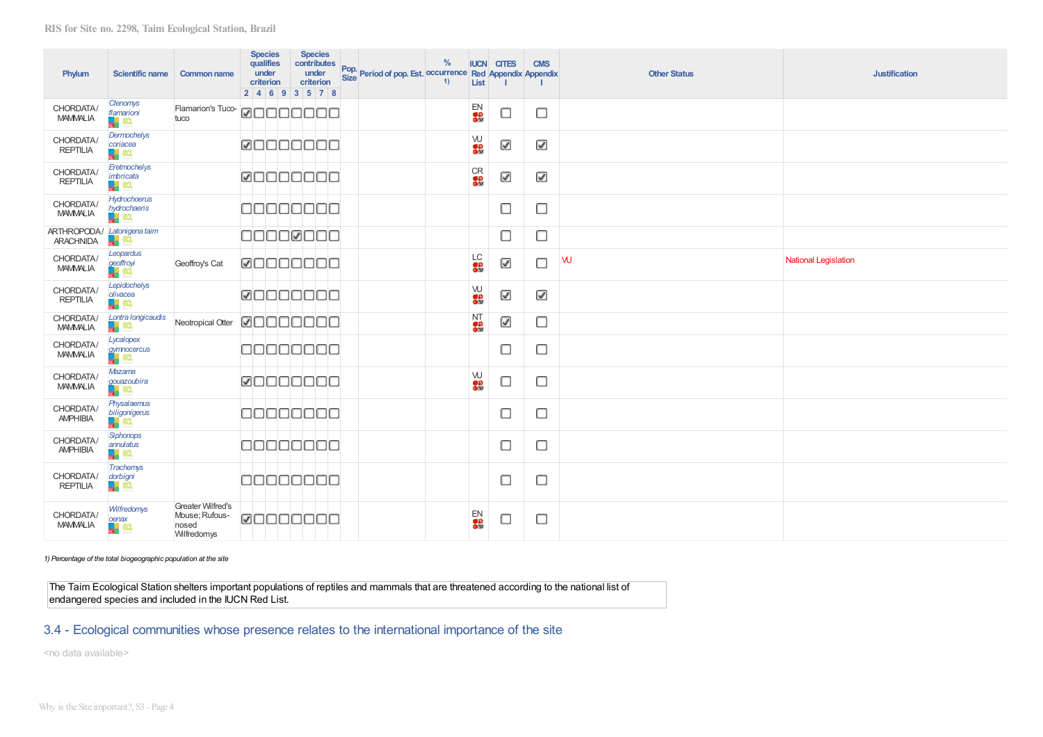| Phylum                          | <b>Scientific name</b>                                    | <b>Common name</b>                                          | <b>Species</b><br>qualifies<br>under<br>criterion |                |               | <b>Species</b><br>contributes<br>under<br>criterion<br>2 4 6 9 3 5 7 8 | Pop. Period of pop. Est. occurrence Red Appendix Appendix | $\%$<br>1) | List                       | <b>IUCN CITES</b><br>-1 | <b>CMS</b> | <b>Other Status</b> | <b>Justification</b> |
|---------------------------------|-----------------------------------------------------------|-------------------------------------------------------------|---------------------------------------------------|----------------|---------------|------------------------------------------------------------------------|-----------------------------------------------------------|------------|----------------------------|-------------------------|------------|---------------------|----------------------|
| CHORDATA/<br><b>MAMMALIA</b>    | <b>Ctenomys</b><br>flamarioni<br><b>E</b> d ea            | Flamarion's Tuco- <b>DEE ENDEED</b><br>tuco                 |                                                   |                |               |                                                                        |                                                           |            | EN<br>O <sup>3</sup>       | $\Box$                  | □          |                     |                      |
| CHORDATA/<br><b>REPTILIA</b>    | Dermochelys<br>coriacea<br>age ea.                        |                                                             |                                                   |                |               | ROOOOOO                                                                |                                                           |            | W<br><b>Si</b>             | ⊽                       | ☑          |                     |                      |
| CHORDATA/<br><b>REPTILIA</b>    | Eretmochelys<br>imbricata<br><b>E</b> d ed.               |                                                             |                                                   | <b>MUUUUUU</b> |               |                                                                        |                                                           |            | CR<br><mark>63</mark>      | ⊽                       | ☑          |                     |                      |
| CHORDATA/<br><b>MAMMALIA</b>    | Hydrochoerus<br>hydrochaeris<br><b>o</b> ea               |                                                             |                                                   |                | 11 11 11 11 1 |                                                                        |                                                           |            |                            | c                       | С          |                     |                      |
| ARTHROPODA/<br><b>ARACHNIDA</b> | Latonigena taim<br>÷<br>61                                |                                                             |                                                   | 0000000        |               |                                                                        |                                                           |            |                            | □                       | О          |                     |                      |
| CHORDATA/<br><b>MAMMALIA</b>    | Leopardus<br>geoffroyi<br><b>E</b> a                      | Geoffroy's Cat                                              |                                                   | 0000000        |               |                                                                        |                                                           |            | LC<br>68                   | ⊽                       | c          | W                   | National Legislation |
| CHORDATA/<br><b>REPTILIA</b>    | Lepidochelys<br>olivacea<br>물에 61.                        |                                                             |                                                   | <b>ØOOOOOO</b> |               |                                                                        |                                                           |            | WU<br><b>SH</b>            | ⊽                       | ☑          |                     |                      |
| CHORDATA/<br><b>MAMMALIA</b>    | Lontra longicaudis<br><b>E</b> d ea                       | Neotropical Otter                                           |                                                   | <b>ØOOOOOO</b> |               |                                                                        |                                                           |            | <b>NT</b><br>$\frac{1}{2}$ | ⊽                       | □          |                     |                      |
| CHORDATA/<br><b>MAMMALIA</b>    | Lycalopex<br>gymnocercus<br><b>o</b> ea                   |                                                             |                                                   |                | 70 H H        |                                                                        |                                                           |            |                            | С                       | c          |                     |                      |
| CHORDATA/<br><b>MAMMALIA</b>    | Mazama<br>qouazoubira<br><b>e</b> ea                      |                                                             |                                                   |                |               | MOOOOOOO                                                               |                                                           |            | WU<br>SS                   | С                       | $\Box$     |                     |                      |
| CHORDATA/<br><b>AMPHIBIA</b>    | Physalaemus<br>biligonigerus<br><b>Band</b> ext           |                                                             |                                                   | والمالا والا   |               |                                                                        |                                                           |            |                            | С                       | □          |                     |                      |
| CHORDATA/<br><b>AMPHIBIA</b>    | Siphonops<br>annulatus<br>$\frac{1}{2}$ and $\frac{1}{2}$ |                                                             |                                                   | חחחחר          |               |                                                                        |                                                           |            |                            | Е                       | □          |                     |                      |
| CHORDATA/<br><b>REPTILIA</b>    | <b>Trachemys</b><br>dorbigni<br><b>E</b> d et             |                                                             |                                                   |                | 700           |                                                                        |                                                           |            |                            | С                       | С          |                     |                      |
| CHORDATA/<br><b>MAMMALIA</b>    | <b>Wilfredomys</b><br>oenax<br><b>R</b> efere             | Greater Wilfred's<br>Mouse; Rufous-<br>nosed<br>Wilfredomys | ΩΓ                                                | nnnn           |               |                                                                        |                                                           |            | EN<br>O <sup>3</sup>       | С                       | С          |                     |                      |

*1) Percentage of the total biogeographic population at the site*

The Taim Ecological Station shelters important populations of reptiles and mammals that are threatened according to the national list of endangered species and included in the IUCN Red List.

# 3.4 - Ecological communities whose presence relates to the international importance of the site

<no data available>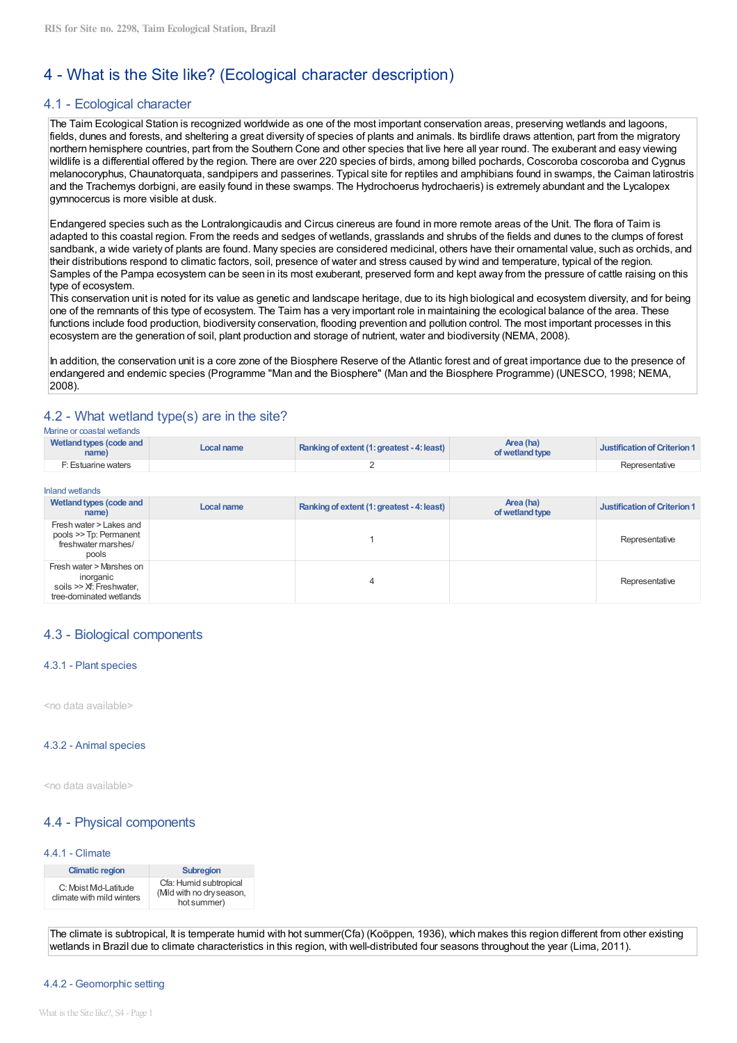# 4 - What is the Site like? (Ecological character description)

# 4.1 - Ecological character

The Taim Ecological Station is recognized worldwide as one of the most important conservation areas, preserving wetlands and lagoons, fields, dunes and forests, and sheltering a great diversity of species of plants and animals. Its birdlife draws attention, part from the migratory northern hemisphere countries, part from the Southern Cone and other species that live here all year round. The exuberant and easy viewing wildlife is a differential offered by the region. There are over 220 species of birds, among billed pochards, Coscoroba coscoroba and Cygnus melanocoryphus, Chaunatorquata, sandpipers and passerines. Typical site for reptiles and amphibians found in swamps, the Caiman latirostris and the Trachemys dorbigni, are easily found in these swamps. The Hydrochoerus hydrochaeris) is extremely abundant and the Lycalopex gymnocercus is more visible at dusk.

Endangered species such as the Lontralongicaudis and Circus cinereus are found in more remote areas of the Unit. The flora of Taim is adapted to this coastal region. From the reeds and sedges of wetlands, grasslands and shrubs of the fields and dunes to the clumps of forest sandbank, a wide variety of plants are found. Many species are considered medicinal, others have their ornamental value, such as orchids, and their distributions respond to climatic factors, soil, presence of water and stress caused by wind and temperature, typical of the region. Samples of the Pampa ecosystem can be seen in its most exuberant, preserved form and kept away from the pressure of cattle raising on this type of ecosystem.

This conservation unit is noted for its value as genetic and landscape heritage, due to its high biological and ecosystem diversity, and for being one of the remnants of this type of ecosystem. The Taim has a very important role in maintaining the ecological balance of the area. These functions include food production, biodiversity conservation, flooding prevention and pollution control. The most important processes in this ecosystem are the generation of soil, plant production and storage of nutrient, water and biodiversity (NEMA, 2008).

In addition, the conservation unit is a core zone of the Biosphere Reserve of the Atlantic forest and of great importance due to the presence of endangered and endemic species (Programme "Man and the Biosphere" (Man and the Biosphere Programme) (UNESCO, 1998; NEMA, 2008).

# 4.2 - What wetland type(s) are in the site?

| Marine or coastal wetlands       |            |                                            |                              |                              |
|----------------------------------|------------|--------------------------------------------|------------------------------|------------------------------|
| Wetland types (code and<br>name) | Local name | Ranking of extent (1: greatest - 4: least) | Area (ha)<br>of wetland type | Justification of Criterion 1 |
| F: Estuarine waters              |            |                                            |                              | Representative               |

#### Inland wetlands

| Wetland types (code and<br>name)                                                             | Local name | Ranking of extent (1: greatest - 4: least) | Area (ha)<br>of wetland type | <b>Justification of Criterion 1</b> |
|----------------------------------------------------------------------------------------------|------------|--------------------------------------------|------------------------------|-------------------------------------|
| Fresh water > Lakes and<br>pools >> Tp: Permanent<br>freshwater marshes/<br>pools            |            |                                            |                              | Representative                      |
| Fresh water > Marshes on<br>inorganic<br>soils >> Xf: Freshwater.<br>tree-dominated wetlands |            |                                            |                              | Representative                      |

# 4.3 - Biological components

#### 4.3.1 - Plant species

<no data available>

#### 4.3.2 - Animal species

<no data available>

# 4.4 - Physical components

#### 4.4.1 - Climate

| <b>Climatic region</b>                             | <b>Subregion</b>                                                   |
|----------------------------------------------------|--------------------------------------------------------------------|
| C: Moist Mid-Latitude<br>climate with mild winters | Cfa: Humid subtropical<br>(Mild with no dry season,<br>hot summer) |

The climate is subtropical, It is temperate humid with hot summer(Cfa) (Koöppen, 1936), which makes this region different from other existing wetlands in Brazil due to climate characteristics in this region, with well-distributed four seasons throughout the year (Lima, 2011).

#### 4.4.2 - Geomorphic setting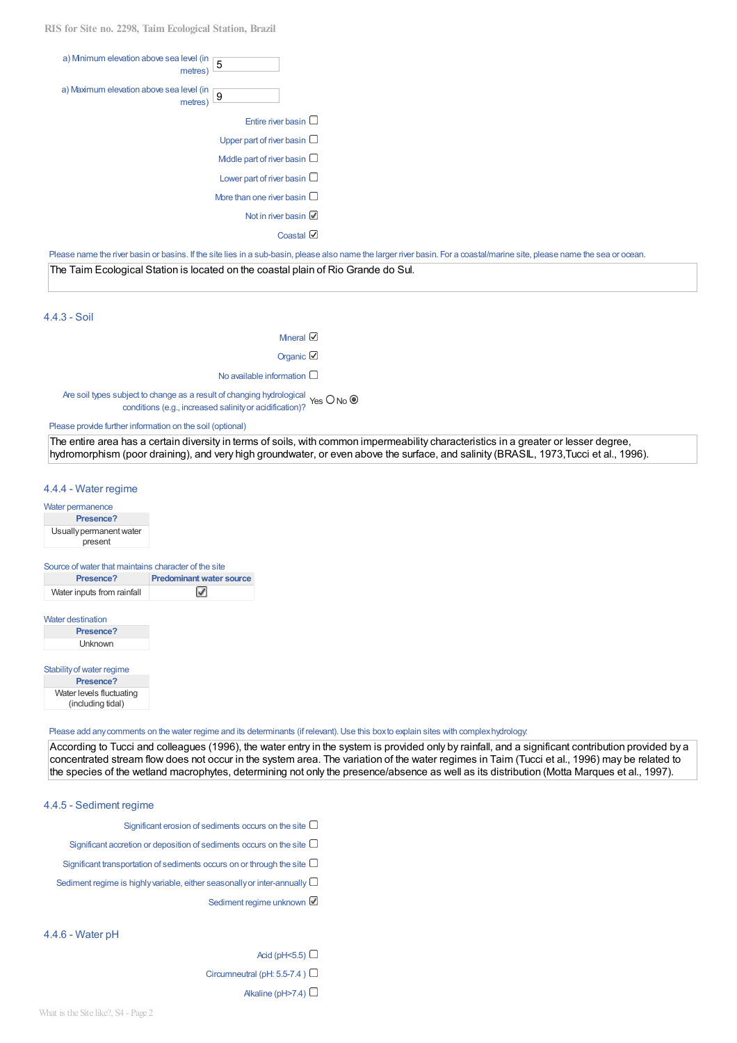| a) Mnimum elevation above sea level (in<br>5<br>metres)  |                                     |
|----------------------------------------------------------|-------------------------------------|
| a) Maximum elevation above sea level (in<br>9<br>metres) |                                     |
|                                                          | Fntire river basin $\square$        |
|                                                          | Upper part of river basin $\Box$    |
|                                                          | Middle part of river basin $\Box$   |
|                                                          | Lower part of river basin $\Box$    |
|                                                          | More than one river basin $\square$ |
|                                                          | Not in river basin                  |
|                                                          | Coastal                             |

Please name the river basin or basins. If the site lies in a sub-basin, please also name the larger river basin. For a coastal/marine site, please name the sea or ocean.

The Taim Ecological Station is located on the coastal plain of Rio Grande do Sul.

#### 4.4.3 - Soil

Mneral  $\n *Q*\n$ 

Organic <sup>2</sup>

No available information  $\square$ 

Are soil types subject to change as a result of changing hydrological Yes O No ( conditions (e.g., increased salinityor acidification)?

#### Please provide further information on the soil (optional)

The entire area has a certain diversity in terms of soils, with common impermeability characteristics in a greater or lesser degree, hydromorphism (poor draining), and very high groundwater, or even above the surface, and salinity (BRASIL, 1973,Tucci et al., 1996).

#### 4.4.4 - Water regime

| Water permanence        |
|-------------------------|
| Presence?               |
| Usually permanent water |
| present                 |

#### Source of water that maintains character of the site

**Presence? Predominant water source** Water inputs from rainfall ⊽

#### Water destination

| Presence? |
|-----------|
| Unknown   |

#### Stability of water regime

| Presence?                |
|--------------------------|
| Water levels fluctuating |
| (including tidal)        |

#### Please add any comments on the water regime and its determinants (if relevant). Use this boxto explain sites with complex hydrology:

According to Tucci and colleagues (1996), the water entry in the system is provided only by rainfall, and a significant contribution provided by a concentrated stream flow does not occur in the system area. The variation of the water regimes in Taim (Tucci et al., 1996) may be related to the species of the wetland macrophytes, determining not only the presence/absence as well as its distribution (Motta Marques et al., 1997).

#### 4.4.5 - Sediment regime

- Significant erosion of sediments occurs on the site  $\Box$
- Significant accretion or deposition of sediments occurs on the site  $\Box$
- Significant transportation of sediments occurs on or through the site  $\Box$
- Sediment regime is highly variable, either seasonally or inter-annually  $\Box$ 
	- Sediment regime unknown

#### 4.4.6 - Water pH

Acid (pH<5.5)  $\Box$ 

- Circumneutral (pH:  $5.5$ -7.4 )  $\Box$ 
	- Alkaline (pH>7.4)  $\Box$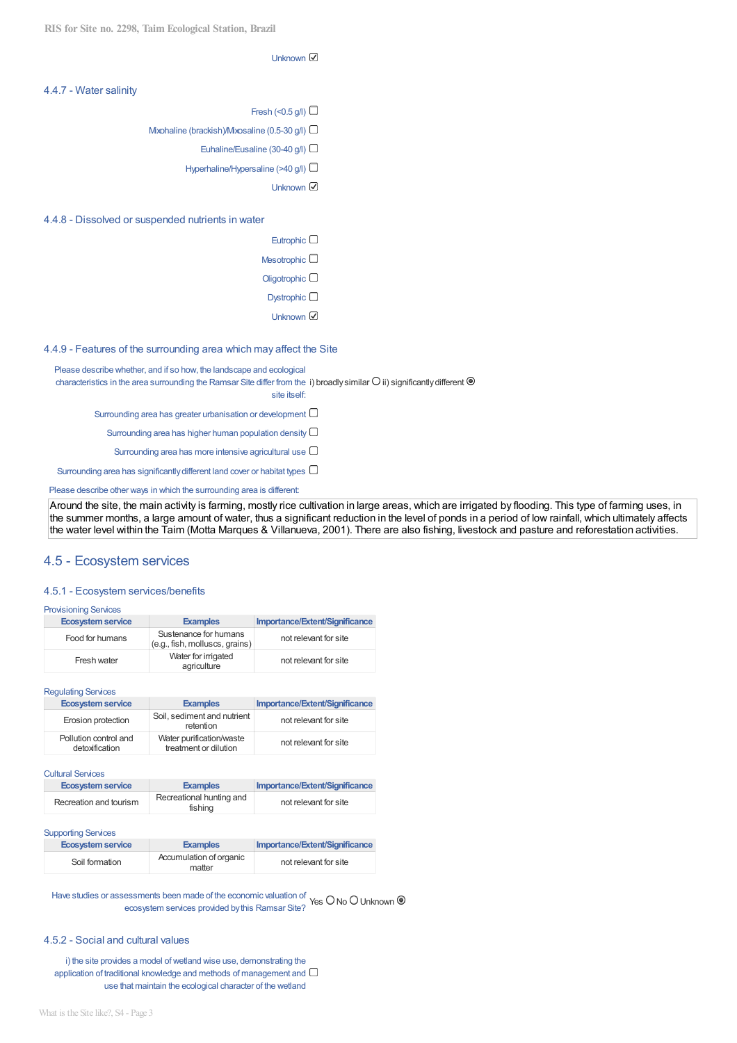Unknown **☑** 

4.4.7 - Water salinity

Fresh (< $0.5$  g/l)  $\Box$ 

Mixohaline (brackish)/Mixosaline (0.5-30 g/l)

Euhaline/Eusaline (30-40 g/l)

Hyperhaline/Hypersaline (>40 g/l)  $\Box$ 

Unknown  $\nabla$ 

4.4.8 - Dissolved or suspended nutrients in water

| Eutrophic $\square$  |
|----------------------|
| Mesotrophic $\Box$   |
| Oligotrophic $\Box$  |
| Dystrophic $\square$ |
| Unknown <b></b>      |

4.4.9 - Features of the surrounding area which may affect the Site

Please describe whether, and if so how, the landscape and ecological

characteristics in the area surrounding the Ramsar Site differ from the  $\,$ i) broadly $\,$ similar  $\rm O$  ii) significantly different  $\,$ 

site itself:

Surrounding area has greater urbanisation or development  $\Box$ 

Surrounding area has higher human population density  $\Box$ 

Surrounding area has more intensive agricultural use  $\Box$ 

Surrounding area has significantly different land cover or habitat types  $\Box$ 

Please describe other ways in which the surrounding area is different:

Around the site, the main activity is farming, mostly rice cultivation in large areas, which are irrigated by flooding. This type of farming uses, in the summer months, a large amount of water, thus a significant reduction in the level of ponds in a period of low rainfall, which ultimately affects the water level within the Taim (Motta Marques & Villanueva, 2001). There are also fishing, livestock and pasture and reforestation activities.

## 4.5 - Ecosystem services

#### 4.5.1 - Ecosystem services/benefits

#### Provisioning Services

| <b>Ecosystem service</b> | <b>Examples</b>                                         | Importance/Extent/Significance |  |
|--------------------------|---------------------------------------------------------|--------------------------------|--|
| Food for humans          | Sustenance for humans<br>(e.g., fish, molluscs, grains) |                                |  |
| Fresh water              | Water for irrigated<br>agriculture                      | not relevant for site          |  |

#### **Regulating Services**

| <b>Ecosystem service</b><br><b>Examples</b><br>Erosion protection<br>retention |                                         |                                                   | Importance/Extent/Significance |
|--------------------------------------------------------------------------------|-----------------------------------------|---------------------------------------------------|--------------------------------|
|                                                                                |                                         | Soil, sediment and nutrient                       | not relevant for site          |
|                                                                                | Pollution control and<br>detoxification | Water purification/waste<br>treatment or dilution | not relevant for site          |

#### Cultural Services

| <b>Ecosystem service</b> | <b>Examples</b>                     | Importance/Extent/Significance |
|--------------------------|-------------------------------------|--------------------------------|
| Recreation and tourism   | Recreational hunting and<br>fishing | not relevant for site          |

#### Supporting Services

| Ecosystem service | <b>Examples</b>                   | Importance/Extent/Significance |  |
|-------------------|-----------------------------------|--------------------------------|--|
| Soil formation    | Accumulation of organic<br>matter | not relevant for site          |  |

Have studies or assessments been made of the economic valuation of  $Y$ es O No O Unknown ( ecosystem services provided bythis Ramsar Site?

#### 4.5.2 - Social and cultural values

i) the site provides a model of wetland wise use, demonstrating the application of traditional knowledge and methods of management and  $\Box$ use that maintain the ecological character of the wetland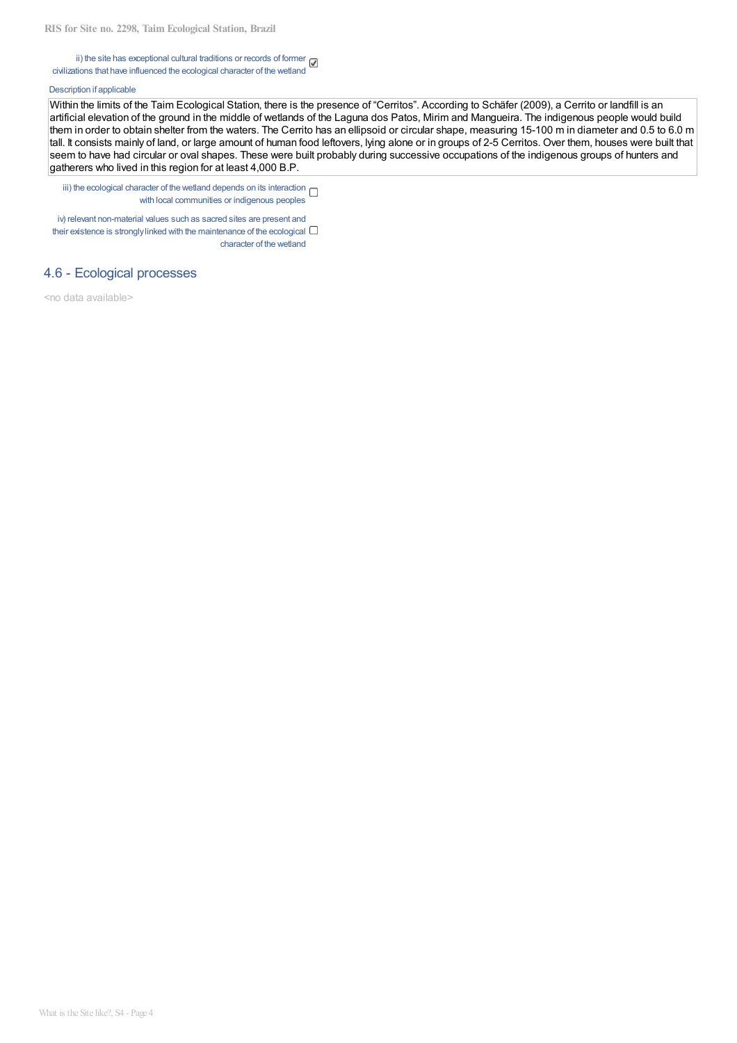ii) the site has exceptional cultural traditions or records of former civilizations that have influenced the ecological character of the wetland

#### Description if applicable

Within the limits of the Taim Ecological Station, there is the presence of "Cerritos". According to Schäfer (2009), a Cerrito or landfill is an artificial elevation of the ground in the middle of wetlands of the Laguna dos Patos, Mirim and Mangueira. The indigenous people would build them in order to obtain shelter from the waters. The Cerrito has an ellipsoid or circular shape, measuring 15-100 m in diameter and 0.5 to 6.0 m tall. It consists mainly of land, or large amount of human food leftovers, lying alone or in groups of 2-5 Cerritos. Over them, houses were built that seem to have had circular or oval shapes. These were built probably during successive occupations of the indigenous groups of hunters and gatherers who lived in this region for at least 4,000 B.P.

iii) the ecological character of the wetland depends on its interaction  $\square$ with local communities or indigenous peoples

iv) relevant non-material values such as sacred sites are present and their existence is strongly linked with the maintenance of the ecological  $\Box$ character of the wetland

# 4.6 - Ecological processes

<no data available>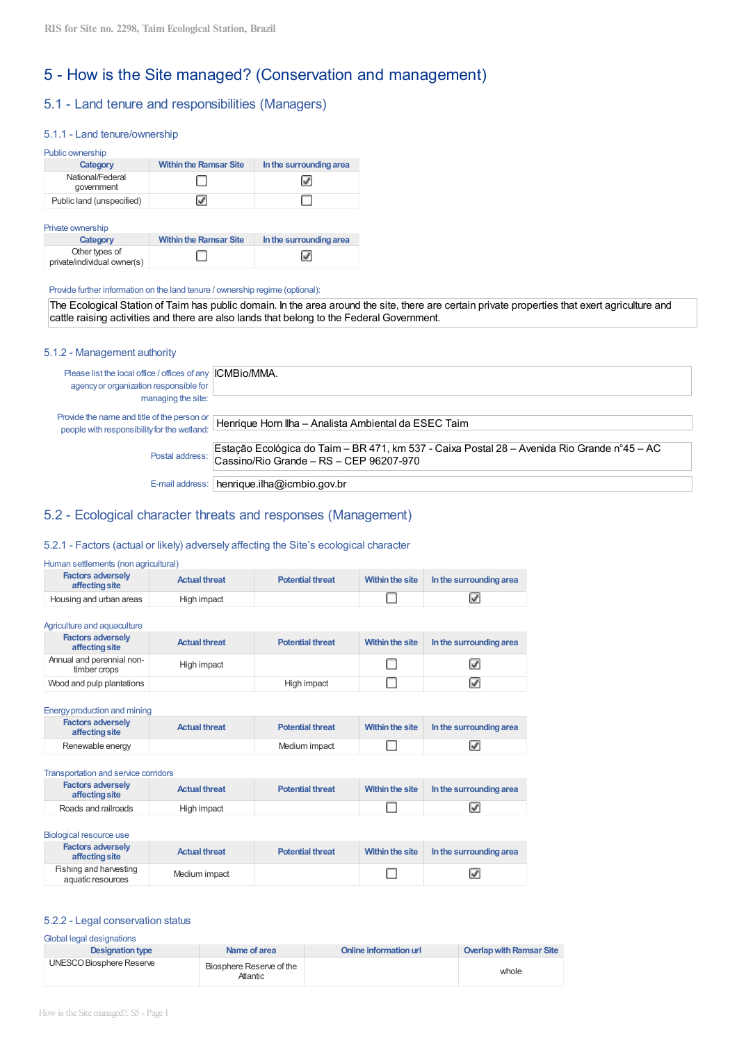# 5 - How is the Site managed? (Conservation and management)

# 5.1 - Land tenure and responsibilities (Managers)

# 5.1.1 - Land tenure/ownership

| Public ownership               |                               |                         |  |  |
|--------------------------------|-------------------------------|-------------------------|--|--|
| Category                       | <b>Within the Ramsar Site</b> | In the surrounding area |  |  |
| National/Federal<br>government |                               |                         |  |  |
| Public land (unspecified)      |                               |                         |  |  |

Private ownership

| Category                                      | <b>Within the Ramsar Site</b> | In the surrounding area |
|-----------------------------------------------|-------------------------------|-------------------------|
| Other types of<br>private/individual owner(s) |                               |                         |

#### Provide further information on the land tenure / ownership regime (optional):

The Ecological Station of Taim has public domain. In the area around the site, there are certain private properties that exert agriculture and cattle raising activities and there are also lands that belong to the Federal Government.

## 5.1.2 - Management authority

| Please list the local office / offices of any   ICMBio/MMA.<br>agency or organization responsible for<br>managing the site: |                                                                                                                                        |
|-----------------------------------------------------------------------------------------------------------------------------|----------------------------------------------------------------------------------------------------------------------------------------|
| Provide the name and title of the person or<br>people with responsibility for the wetland:                                  | Henrique Horn Ilha - Analista Ambiental da ESEC Taim                                                                                   |
| Postal address:                                                                                                             | Estação Ecológica do Taim – BR 471, km 537 - Caixa Postal 28 – Avenida Rio Grande n°45 – AC<br>Cassino/Rio Grande - RS - CEP 96207-970 |
|                                                                                                                             | E-mail address: $ $ henrique.ilha@icmbio.gov.br                                                                                        |

# 5.2 - Ecological character threats and responses (Management)

#### 5.2.1 - Factors (actual or likely) adversely affecting the Site's ecological character

| Human settlements (non agricultural)       |                      |                         |                 |                         |
|--------------------------------------------|----------------------|-------------------------|-----------------|-------------------------|
| <b>Factors adversely</b><br>affecting site | <b>Actual threat</b> | <b>Potential threat</b> | Within the site | In the surrounding area |
| Housing and urban areas                    | High impact          |                         |                 | v                       |

Agriculture and aquaculture

| <b>Factors adversely</b><br>affecting site | <b>Actual threat</b> | <b>Potential threat</b> | Within the site | In the surrounding area |
|--------------------------------------------|----------------------|-------------------------|-----------------|-------------------------|
| Annual and perennial non-<br>timber crops  | High impact          |                         |                 |                         |
| Wood and pulp plantations                  |                      | High impact             |                 |                         |

| Energy production and mining               |                      |                         |                 |                         |
|--------------------------------------------|----------------------|-------------------------|-----------------|-------------------------|
| <b>Factors adversely</b><br>affecting site | <b>Actual threat</b> | <b>Potential threat</b> | Within the site | In the surrounding area |
| Renewable energy                           |                      | Medium impact           |                 |                         |

#### Transportation and service corridors

| <b>Factors adversely</b><br>affecting site | <b>Actual threat</b> | <b>Potential threat</b> | Within the site | In the surrounding area |
|--------------------------------------------|----------------------|-------------------------|-----------------|-------------------------|
| Roads and railroads                        | High impact          |                         |                 |                         |

#### Biological resource use

| <b>Factors adversely</b><br>affecting site  | <b>Actual threat</b> | <b>Potential threat</b> | Within the site | In the surrounding area |
|---------------------------------------------|----------------------|-------------------------|-----------------|-------------------------|
| Fishing and harvesting<br>aquatic resources | Medium impact        |                         |                 |                         |

#### 5.2.2 - Legal conservation status

Global legal designations

| <b>Designation type</b>  | Name of area                         | Online information url | <b>Overlap with Ramsar Site</b> |
|--------------------------|--------------------------------------|------------------------|---------------------------------|
| UNESCO Biosphere Reserve | Biosphere Reserve of the<br>Atlantic |                        | whole                           |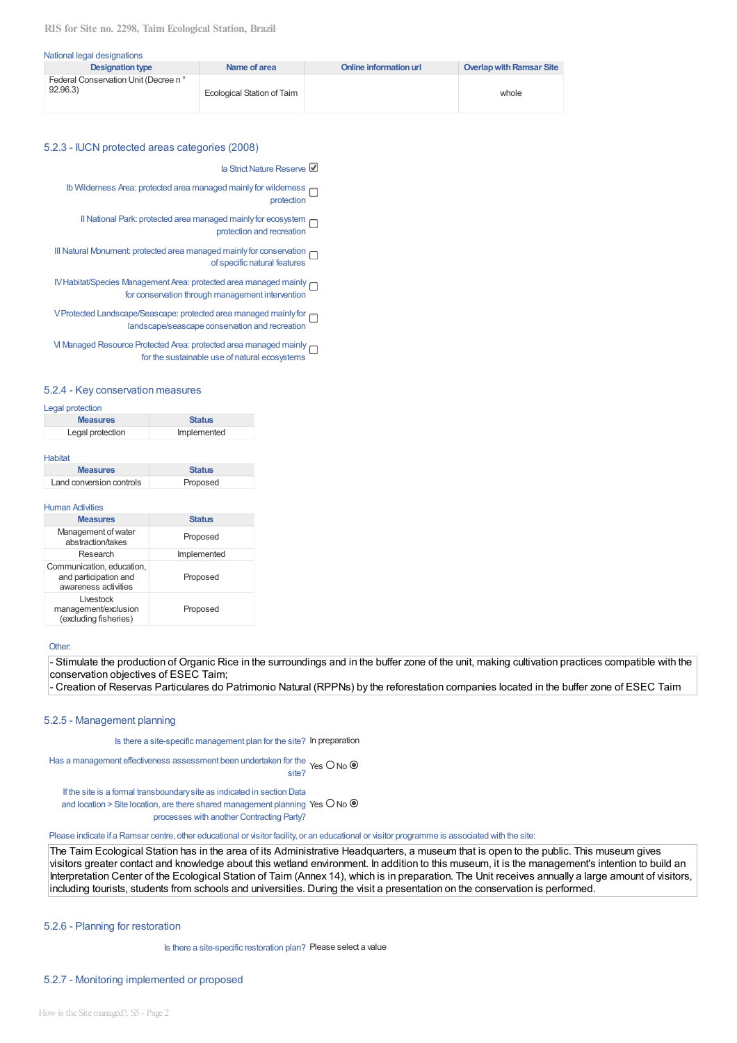#### National legal designations

| <b>Designation type</b>                          | Name of area               | Online information url | Overlap with Ramsar Site |
|--------------------------------------------------|----------------------------|------------------------|--------------------------|
| Federal Conservation Unit (Decree n°<br>92.96.3) | Ecological Station of Taim |                        | whole                    |

#### 5.2.3 - IUCN protected areas categories (2008)

Ia Strict Nature Reserve

- Ib Wilderness Area: protected area managed mainly for wilderness  $\Box$ protection
	- II National Park: protected area managed mainly for ecosystem protection and recreation
- III Natural Monument: protected area managed mainly for conservation of specific natural features
- IVHabitat/Species Management Area: protected area managed mainly for conservation through management intervention
- VProtected Landscape/Seascape: protected area managed mainly for  $\Box$ landscape/seascape conservation and recreation
- VI Managed Resource Protected Area: protected area managed mainly for the sustainable use of natural ecosystems

#### 5.2.4 - Key conservation measures

| Legal protection |               |
|------------------|---------------|
| <b>Measures</b>  | <b>Status</b> |
| Legal protection | Implemented   |

#### Habitat

| <b>Measures</b>          |          |  |
|--------------------------|----------|--|
| Land conversion controls | Proposed |  |
|                          |          |  |

#### Human Activities

| <b>Measures</b>                                                            | <b>Status</b> |
|----------------------------------------------------------------------------|---------------|
| Management of water<br>abstraction/takes                                   | Proposed      |
| Research                                                                   | Implemented   |
| Communication, education,<br>and participation and<br>awareness activities | Proposed      |
| Livestock<br>management/exclusion<br>(excluding fisheries)                 | Proposed      |

#### **Other**

- Stimulate the production of Organic Rice in the surroundings and in the buffer zone of the unit, making cultivation practices compatible with the conservation objectives of ESEC Taim;

- Creation of Reservas Particulares do Patrimonio Natural (RPPNs) by the reforestation companies located in the buffer zone of ESEC Taim

#### 5.2.5 - Management planning

Is there a site-specific management plan for the site? In preparation

Has a management effectiveness assessment been undertaken for the Yes  $\bigcirc$  No ( site?

If the site is a formal transboundarysite as indicated in section Data and location > Site location, are there shared management planning Yes  $\Box$  No ( processes with another Contracting Party?

Please indicate if a Ramsar centre, other educational or visitor facility, or an educational or visitor programme is associated with the site:

The Taim Ecological Station has in the area of its Administrative Headquarters, a museum that is open to the public. This museum gives visitors greater contact and knowledge about this wetland environment. In addition to this museum, it is the management's intention to build an Interpretation Center of the Ecological Station of Taim (Annex 14), which is in preparation. The Unit receives annually a large amount of visitors, including tourists, students from schools and universities. During the visit a presentation on the conservation is performed.

#### 5.2.6 - Planning for restoration

Is there a site-specific restoration plan? Please select a value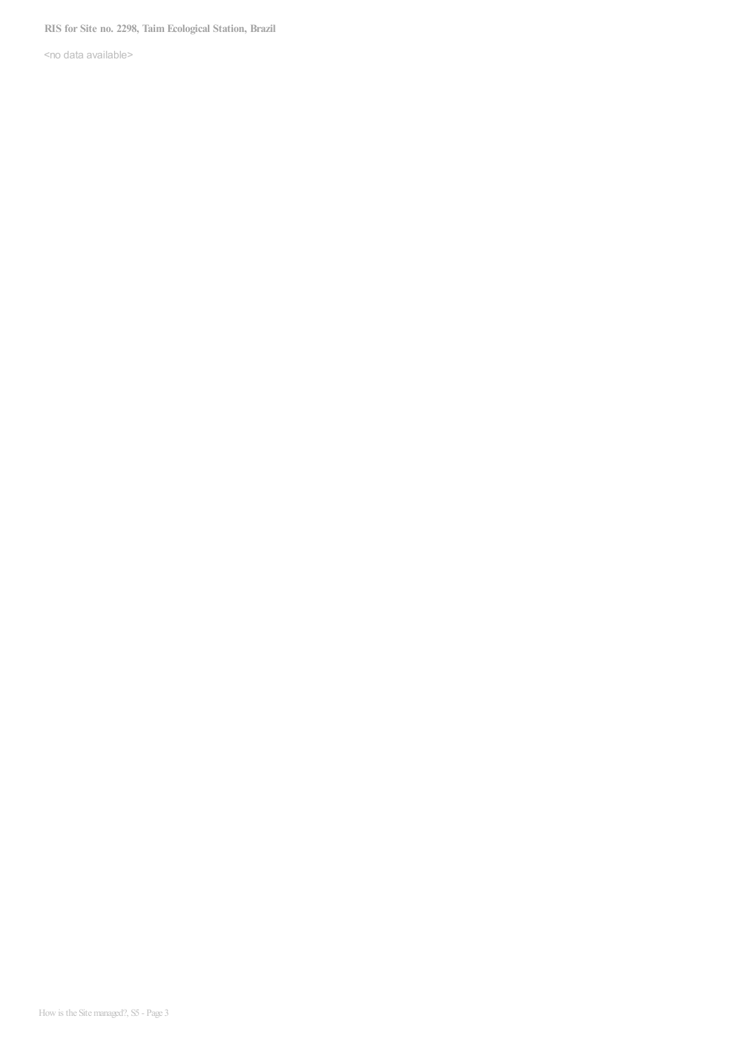<no data available>